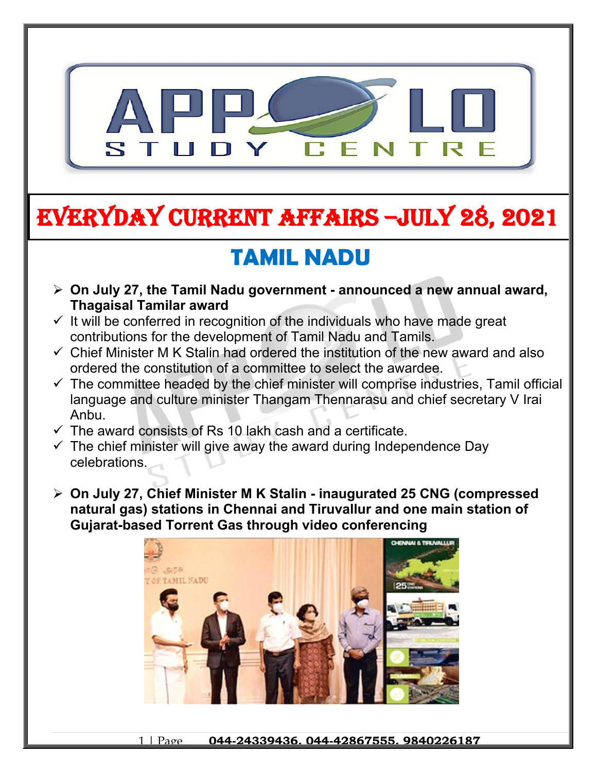

# **EVERYDAY CURRENT AFFAIRS –jULY 28, 2021**

## **TAMIL NADU**

- **On July 27, the Tamil Nadu government announced a new annual award, Thagaisal Tamilar award**
- $\checkmark$  It will be conferred in recognition of the individuals who have made great contributions for the development of Tamil Nadu and Tamils.
- $\checkmark$  Chief Minister M K Stalin had ordered the institution of the new award and also ordered the constitution of a committee to select the awardee.
- $\checkmark$  The committee headed by the chief minister will comprise industries, Tamil official language and culture minister Thangam Thennarasu and chief secretary V Irai Anbu.
- $\checkmark$  The award consists of Rs 10 lakh cash and a certificate.

**-**

- $\checkmark$  The chief minister will give away the award during Independence Day celebrations.
- **On July 27, Chief Minister M K Stalin inaugurated 25 CNG (compressed natural gas) stations in Chennai and Tiruvallur and one main station of Gujarat-based Torrent Gas through video conferencing**

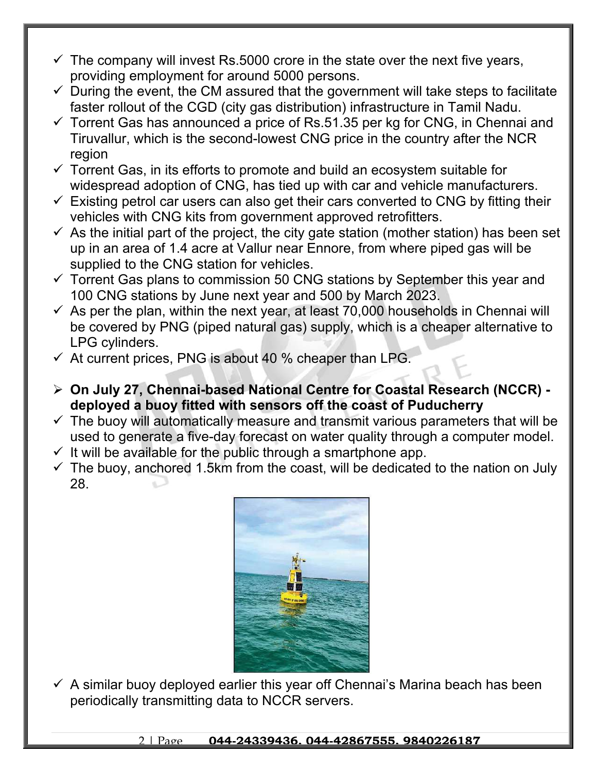- $\checkmark$  The company will invest Rs.5000 crore in the state over the next five years, providing employment for around 5000 persons.
- $\checkmark$  During the event, the CM assured that the government will take steps to facilitate faster rollout of the CGD (city gas distribution) infrastructure in Tamil Nadu.
- $\checkmark$  Torrent Gas has announced a price of Rs.51.35 per kg for CNG, in Chennai and Tiruvallur, which is the second-lowest CNG price in the country after the NCR region
- $\checkmark$  Torrent Gas, in its efforts to promote and build an ecosystem suitable for widespread adoption of CNG, has tied up with car and vehicle manufacturers.
- $\checkmark$  Existing petrol car users can also get their cars converted to CNG by fitting their vehicles with CNG kits from government approved retrofitters.
- $\checkmark$  As the initial part of the project, the city gate station (mother station) has been set up in an area of 1.4 acre at Vallur near Ennore, from where piped gas will be supplied to the CNG station for vehicles.
- $\checkmark$  Torrent Gas plans to commission 50 CNG stations by September this year and 100 CNG stations by June next year and 500 by March 2023.
- $\checkmark$  As per the plan, within the next year, at least 70,000 households in Chennai will be covered by PNG (piped natural gas) supply, which is a cheaper alternative to LPG cylinders.
- $\checkmark$  At current prices, PNG is about 40 % cheaper than LPG.
- **On July 27, Chennai-based National Centre for Coastal Research (NCCR) deployed a buoy fitted with sensors off the coast of Puducherry**
- $\checkmark$  The buoy will automatically measure and transmit various parameters that will be used to generate a five-day forecast on water quality through a computer model.
- $\checkmark$  It will be available for the public through a smartphone app.
- $\checkmark$  The buoy, anchored 1.5km from the coast, will be dedicated to the nation on July 28.



 $\checkmark$  A similar buoy deployed earlier this year off Chennai's Marina beach has been periodically transmitting data to NCCR servers.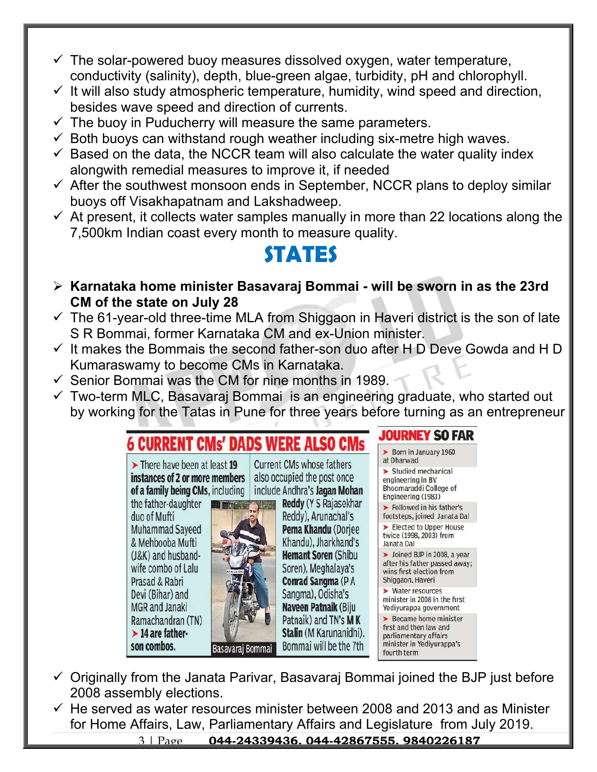- $\checkmark$  The solar-powered buoy measures dissolved oxygen, water temperature, conductivity (salinity), depth, blue-green algae, turbidity, pH and chlorophyll.
- $\checkmark$  It will also study atmospheric temperature, humidity, wind speed and direction, besides wave speed and direction of currents.
- $\checkmark$  The buoy in Puducherry will measure the same parameters.
- $\checkmark$  Both buoys can withstand rough weather including six-metre high waves.
- $\checkmark$  Based on the data, the NCCR team will also calculate the water quality index alongwith remedial measures to improve it, if needed
- $\checkmark$  After the southwest monsoon ends in September, NCCR plans to deploy similar buoys off Visakhapatnam and Lakshadweep.
- $\checkmark$  At present, it collects water samples manually in more than 22 locations along the 7,500km Indian coast every month to measure quality.

## **STATES**

- **Karnataka home minister Basavaraj Bommai will be sworn in as the 23rd CM of the state on July 28**
- $\checkmark$  The 61-year-old three-time MLA from Shiggaon in Haveri district is the son of late S R Bommai, former Karnataka CM and ex-Union minister.
- $\checkmark$  It makes the Bommais the second father-son duo after H D Deve Gowda and H D Kumaraswamy to become CMs in Karnataka.
- $\checkmark$  Senior Bommai was the CM for nine months in 1989.
- $\checkmark$  Two-term MLC, Basavaraj Bommai is an engineering graduate, who started out by working for the Tatas in Pune for three years before turning as an entrepreneur



- $\checkmark$  Originally from the Janata Parivar, Basavaraj Bommai joined the BJP just before 2008 assembly elections.
- $\checkmark$  He served as water resources minister between 2008 and 2013 and as Minister for Home Affairs, Law, Parliamentary Affairs and Legislature from July 2019.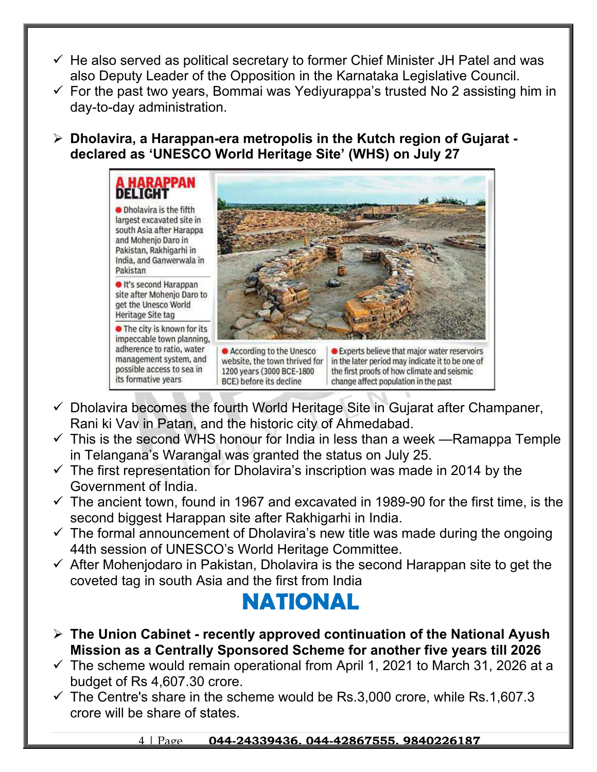- $\checkmark$  He also served as political secretary to former Chief Minister JH Patel and was also Deputy Leader of the Opposition in the Karnataka Legislative Council.
- $\checkmark$  For the past two years, Bommai was Yediyurappa's trusted No 2 assisting him in day-to-day administration.

 **Dholavira, a Harappan-era metropolis in the Kutch region of Gujarat declared as 'UNESCO World Heritage Site' (WHS) on July 27**



- $\checkmark$  Dholavira becomes the fourth World Heritage Site in Gujarat after Champaner, Rani ki Vav in Patan, and the historic city of Ahmedabad.
- $\checkmark$  This is the second WHS honour for India in less than a week —Ramappa Temple in Telangana's Warangal was granted the status on July 25.
- $\checkmark$  The first representation for Dholavira's inscription was made in 2014 by the Government of India.
- $\checkmark$  The ancient town, found in 1967 and excavated in 1989-90 for the first time, is the second biggest Harappan site after Rakhigarhi in India.
- $\checkmark$  The formal announcement of Dholavira's new title was made during the ongoing 44th session of UNESCO's World Heritage Committee.
- $\checkmark$  After Mohenjodaro in Pakistan, Dholavira is the second Harappan site to get the coveted tag in south Asia and the first from India

## **NATIONAL**

- **The Union Cabinet recently approved continuation of the National Ayush Mission as a Centrally Sponsored Scheme for another five years till 2026**
- $\checkmark$  The scheme would remain operational from April 1, 2021 to March 31, 2026 at a budget of Rs 4,607.30 crore.
- $\checkmark$  The Centre's share in the scheme would be Rs.3,000 crore, while Rs.1,607.3 crore will be share of states.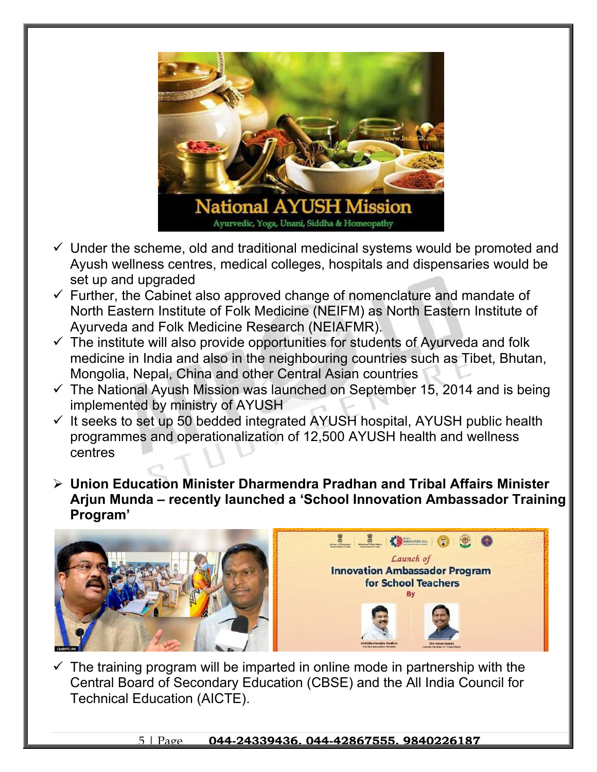

- $\checkmark$  Under the scheme, old and traditional medicinal systems would be promoted and Ayush wellness centres, medical colleges, hospitals and dispensaries would be set up and upgraded
- $\checkmark$  Further, the Cabinet also approved change of nomenclature and mandate of North Eastern Institute of Folk Medicine (NEIFM) as North Eastern Institute of Ayurveda and Folk Medicine Research (NEIAFMR).
- $\checkmark$  The institute will also provide opportunities for students of Ayurveda and folk medicine in India and also in the neighbouring countries such as Tibet, Bhutan, Mongolia, Nepal, China and other Central Asian countries
- $\checkmark$  The National Ayush Mission was launched on September 15, 2014 and is being implemented by ministry of AYUSH
- $\checkmark$  It seeks to set up 50 bedded integrated AYUSH hospital, AYUSH public health programmes and operationalization of 12,500 AYUSH health and wellness centres
- **Union Education Minister Dharmendra Pradhan and Tribal Affairs Minister Arjun Munda – recently launched a 'School Innovation Ambassador Training Program'**



 $\checkmark$  The training program will be imparted in online mode in partnership with the Central Board of Secondary Education (CBSE) and the All India Council for Technical Education (AICTE).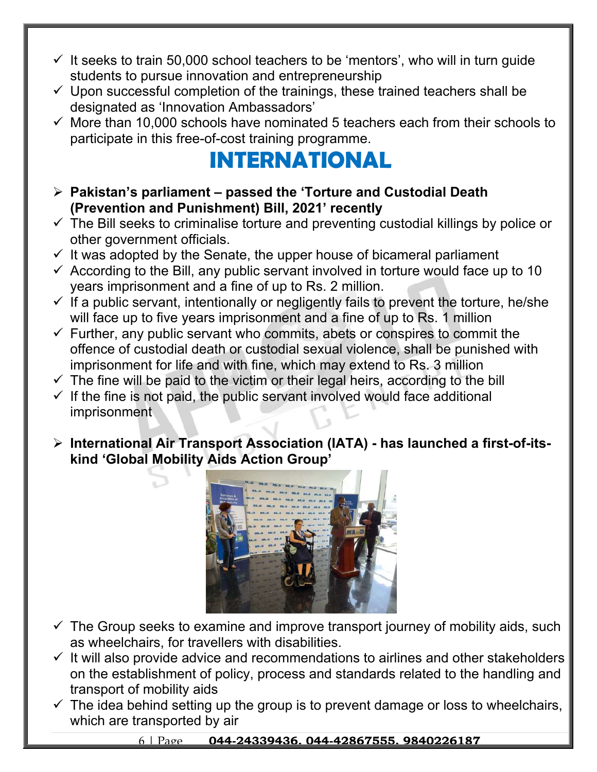- $\checkmark$  It seeks to train 50,000 school teachers to be 'mentors', who will in turn guide students to pursue innovation and entrepreneurship
- $\checkmark$  Upon successful completion of the trainings, these trained teachers shall be designated as 'Innovation Ambassadors'
- $\checkmark$  More than 10,000 schools have nominated 5 teachers each from their schools to participate in this free-of-cost training programme.

## **INTERNATIONAL**

- **Pakistan's parliament passed the 'Torture and Custodial Death (Prevention and Punishment) Bill, 2021' recently**
- $\checkmark$  The Bill seeks to criminalise torture and preventing custodial killings by police or other government officials.
- $\checkmark$  It was adopted by the Senate, the upper house of bicameral parliament
- $\checkmark$  According to the Bill, any public servant involved in torture would face up to 10 years imprisonment and a fine of up to Rs. 2 million.
- $\checkmark$  If a public servant, intentionally or negligently fails to prevent the torture, he/she will face up to five years imprisonment and a fine of up to Rs. 1 million
- $\checkmark$  Further, any public servant who commits, abets or conspires to commit the offence of custodial death or custodial sexual violence, shall be punished with imprisonment for life and with fine, which may extend to Rs. 3 million
- $\checkmark$  The fine will be paid to the victim or their legal heirs, according to the bill
- $\checkmark$  If the fine is not paid, the public servant involved would face additional imprisonment
- **International Air Transport Association (IATA) has launched a first-of-itskind 'Global Mobility Aids Action Group'**



- $\checkmark$  The Group seeks to examine and improve transport journey of mobility aids, such as wheelchairs, for travellers with disabilities.
- $\checkmark$  It will also provide advice and recommendations to airlines and other stakeholders on the establishment of policy, process and standards related to the handling and transport of mobility aids
- $\checkmark$  The idea behind setting up the group is to prevent damage or loss to wheelchairs, which are transported by air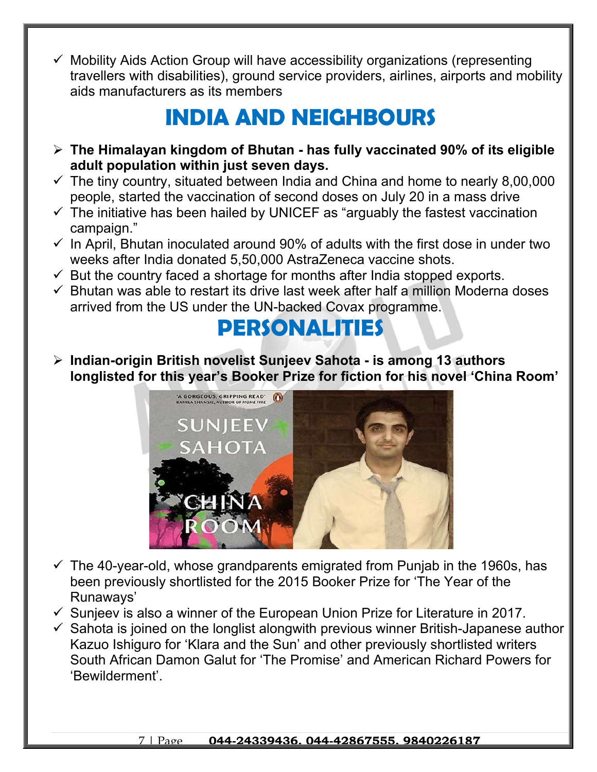$\checkmark$  Mobility Aids Action Group will have accessibility organizations (representing travellers with disabilities), ground service providers, airlines, airports and mobility aids manufacturers as its members

## **INDIA AND NEIGHBOURS**

- **The Himalayan kingdom of Bhutan has fully vaccinated 90% of its eligible adult population within just seven days.**
- $\checkmark$  The tiny country, situated between India and China and home to nearly 8,00,000 people, started the vaccination of second doses on July 20 in a mass drive
- $\checkmark$  The initiative has been hailed by UNICEF as "arguably the fastest vaccination campaign."
- $\checkmark$  In April, Bhutan inoculated around 90% of adults with the first dose in under two weeks after India donated 5,50,000 AstraZeneca vaccine shots.
- $\checkmark$  But the country faced a shortage for months after India stopped exports.
- $\checkmark$  Bhutan was able to restart its drive last week after half a million Moderna doses arrived from the US under the UN-backed Covax programme.

## **PERSONALITIES**

 **Indian-origin British novelist Sunjeev Sahota - is among 13 authors longlisted for this year's Booker Prize for fiction for his novel 'China Room'**



- $\checkmark$  The 40-year-old, whose grandparents emigrated from Punjab in the 1960s, has been previously shortlisted for the 2015 Booker Prize for 'The Year of the Runaways'
- $\checkmark$  Sunjeev is also a winner of the European Union Prize for Literature in 2017.
- $\checkmark$  Sahota is joined on the longlist alongwith previous winner British-Japanese author Kazuo Ishiguro for 'Klara and the Sun' and other previously shortlisted writers South African Damon Galut for 'The Promise' and American Richard Powers for 'Bewilderment'.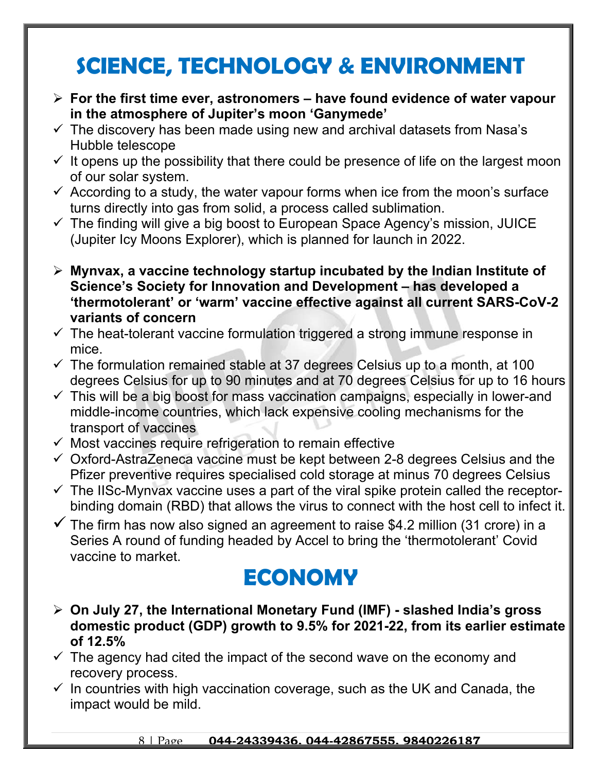## **SCIENCE, TECHNOLOGY & ENVIRONMENT**

- **For the first time ever, astronomers have found evidence of water vapour in the atmosphere of Jupiter's moon 'Ganymede'**
- $\checkmark$  The discovery has been made using new and archival datasets from Nasa's Hubble telescope
- $\checkmark$  It opens up the possibility that there could be presence of life on the largest moon of our solar system.
- $\checkmark$  According to a study, the water vapour forms when ice from the moon's surface turns directly into gas from solid, a process called sublimation.
- $\checkmark$  The finding will give a big boost to European Space Agency's mission, JUICE (Jupiter Icy Moons Explorer), which is planned for launch in 2022.
- **Mynvax, a vaccine technology startup incubated by the Indian Institute of Science's Society for Innovation and Development – has developed a 'thermotolerant' or 'warm' vaccine effective against all current SARS-CoV-2 variants of concern**
- $\checkmark$  The heat-tolerant vaccine formulation triggered a strong immune response in mice.
- $\checkmark$  The formulation remained stable at 37 degrees Celsius up to a month, at 100 degrees Celsius for up to 90 minutes and at 70 degrees Celsius for up to 16 hours
- $\checkmark$  This will be a big boost for mass vaccination campaigns, especially in lower-and middle-income countries, which lack expensive cooling mechanisms for the transport of vaccines
- $\checkmark$  Most vaccines require refrigeration to remain effective
- $\checkmark$  Oxford-AstraZeneca vaccine must be kept between 2-8 degrees Celsius and the Pfizer preventive requires specialised cold storage at minus 70 degrees Celsius
- $\checkmark$  The IISc-Mynvax vaccine uses a part of the viral spike protein called the receptorbinding domain (RBD) that allows the virus to connect with the host cell to infect it.
- $\checkmark$  The firm has now also signed an agreement to raise \$4.2 million (31 crore) in a Series A round of funding headed by Accel to bring the 'thermotolerant' Covid vaccine to market.

## **ECONOMY**

- **On July 27, the International Monetary Fund (IMF) slashed India's gross domestic product (GDP) growth to 9.5% for 2021-22, from its earlier estimate of 12.5%**
- $\checkmark$  The agency had cited the impact of the second wave on the economy and recovery process.
- $\checkmark$  In countries with high vaccination coverage, such as the UK and Canada, the impact would be mild.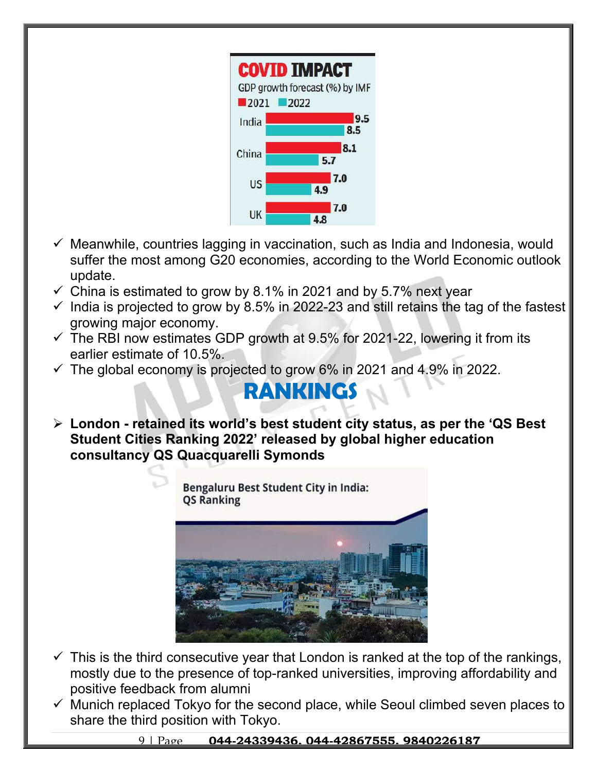

- $\checkmark$  Meanwhile, countries lagging in vaccination, such as India and Indonesia, would suffer the most among G20 economies, according to the World Economic outlook update.
- $\checkmark$  China is estimated to grow by 8.1% in 2021 and by 5.7% next year
- $\checkmark$  India is projected to grow by 8.5% in 2022-23 and still retains the tag of the fastest growing major economy.
- $\checkmark$  The RBI now estimates GDP growth at 9.5% for 2021-22, lowering it from its earlier estimate of 10.5%.
- $\checkmark$  The global economy is projected to grow 6% in 2021 and 4.9% in 2022.

## **RANKINGS**

 **London - retained its world's best student city status, as per the 'QS Best Student Cities Ranking 2022' released by global higher education consultancy QS Quacquarelli Symonds**

> Bengaluru Best Student City in India: **QS Ranking**



- $\checkmark$  This is the third consecutive year that London is ranked at the top of the rankings, mostly due to the presence of top-ranked universities, improving affordability and positive feedback from alumni
- $\checkmark$  Munich replaced Tokyo for the second place, while Seoul climbed seven places to share the third position with Tokyo.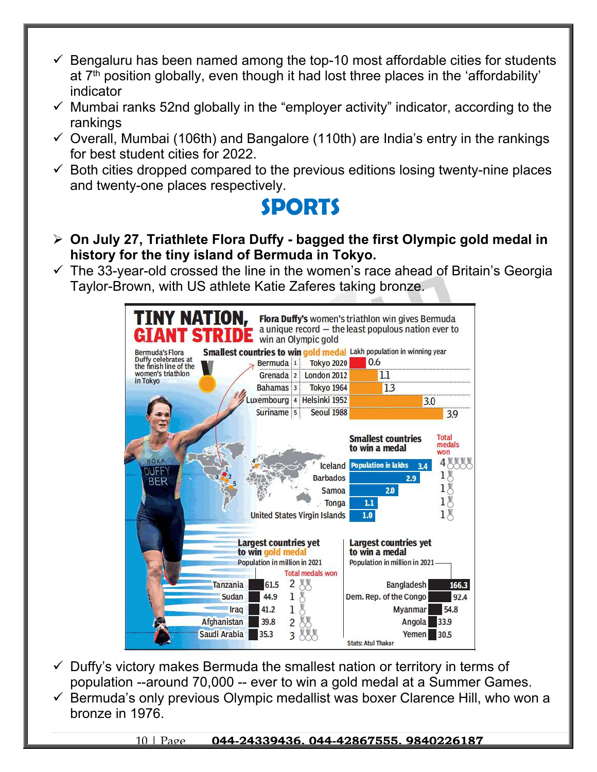- $\checkmark$  Bengaluru has been named among the top-10 most affordable cities for students at 7th position globally, even though it had lost three places in the 'affordability' indicator
- $\checkmark$  Mumbai ranks 52nd globally in the "employer activity" indicator, according to the rankings
- $\checkmark$  Overall, Mumbai (106th) and Bangalore (110th) are India's entry in the rankings for best student cities for 2022.
- $\checkmark$  Both cities dropped compared to the previous editions losing twenty-nine places and twenty-one places respectively.

#### **SPORTS**

- **On July 27, Triathlete Flora Duffy bagged the first Olympic gold medal in history for the tiny island of Bermuda in Tokyo.**
- $\checkmark$  The 33-year-old crossed the line in the women's race ahead of Britain's Georgia Taylor-Brown, with US athlete Katie Zaferes taking bronze.



- $\checkmark$  Duffy's victory makes Bermuda the smallest nation or territory in terms of population --around 70,000 -- ever to win a gold medal at a Summer Games.
- $\checkmark$  Bermuda's only previous Olympic medallist was boxer Clarence Hill, who won a bronze in 1976.